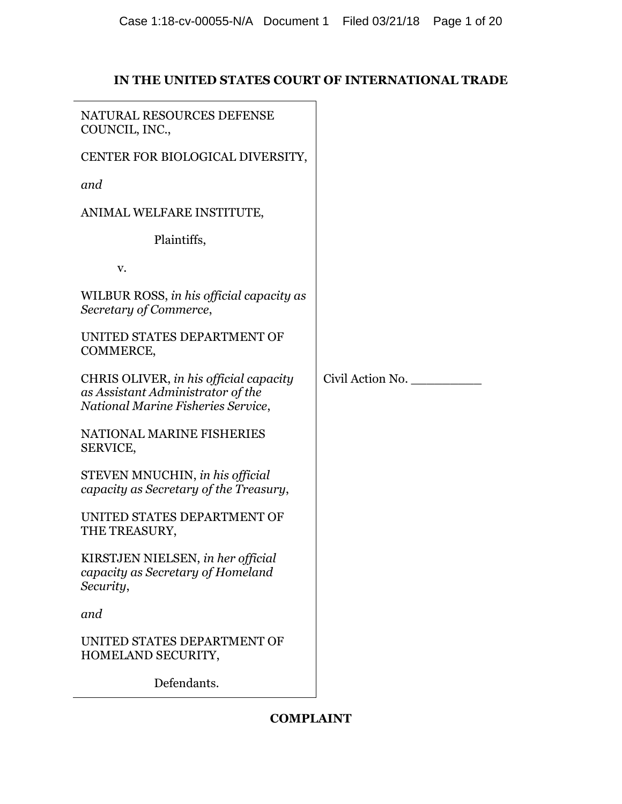# **IN THE UNITED STATES COURT OF INTERNATIONAL TRADE**

| NATURAL RESOURCES DEFENSE<br>COUNCIL, INC.,                                                                       |                  |
|-------------------------------------------------------------------------------------------------------------------|------------------|
| CENTER FOR BIOLOGICAL DIVERSITY,                                                                                  |                  |
| and                                                                                                               |                  |
| ANIMAL WELFARE INSTITUTE,                                                                                         |                  |
| Plaintiffs,                                                                                                       |                  |
| V.                                                                                                                |                  |
| WILBUR ROSS, in his official capacity as<br>Secretary of Commerce,                                                |                  |
| UNITED STATES DEPARTMENT OF<br>COMMERCE,                                                                          |                  |
| CHRIS OLIVER, in his official capacity<br>as Assistant Administrator of the<br>National Marine Fisheries Service, | Civil Action No. |
| NATIONAL MARINE FISHERIES<br>SERVICE,                                                                             |                  |
| STEVEN MNUCHIN, in his official<br>capacity as Secretary of the Treasury,                                         |                  |
| UNITED STATES DEPARTMENT OF<br>THE TREASURY,                                                                      |                  |
| KIRSTJEN NIELSEN, in her official<br>capacity as Secretary of Homeland<br>Security,                               |                  |
| and                                                                                                               |                  |
| UNITED STATES DEPARTMENT OF<br>HOMELAND SECURITY,                                                                 |                  |
| Defendants.                                                                                                       |                  |

# **COMPLAINT**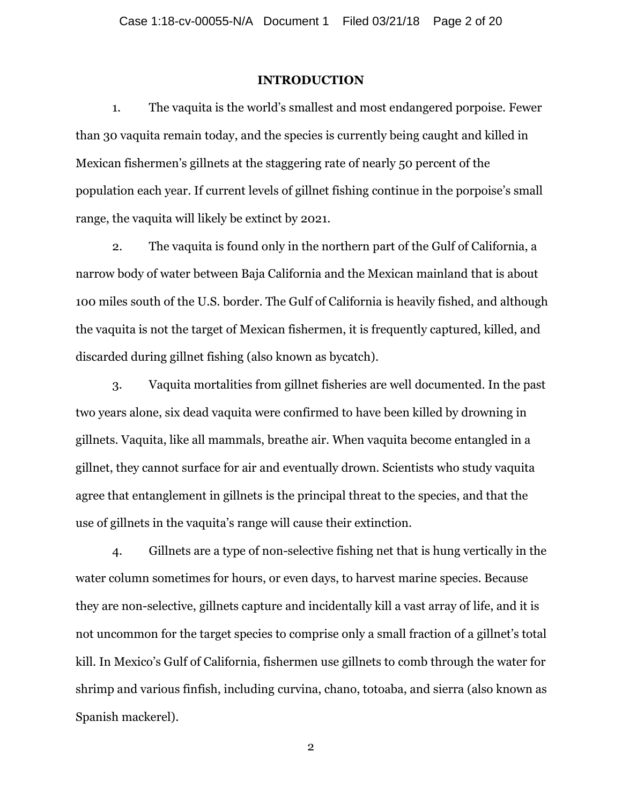### **INTRODUCTION**

1. The vaquita is the world's smallest and most endangered porpoise. Fewer than 30 vaquita remain today, and the species is currently being caught and killed in Mexican fishermen's gillnets at the staggering rate of nearly 50 percent of the population each year. If current levels of gillnet fishing continue in the porpoise's small range, the vaquita will likely be extinct by 2021.

2. The vaquita is found only in the northern part of the Gulf of California, a narrow body of water between Baja California and the Mexican mainland that is about 100 miles south of the U.S. border. The Gulf of California is heavily fished, and although the vaquita is not the target of Mexican fishermen, it is frequently captured, killed, and discarded during gillnet fishing (also known as bycatch).

3. Vaquita mortalities from gillnet fisheries are well documented. In the past two years alone, six dead vaquita were confirmed to have been killed by drowning in gillnets. Vaquita, like all mammals, breathe air. When vaquita become entangled in a gillnet, they cannot surface for air and eventually drown. Scientists who study vaquita agree that entanglement in gillnets is the principal threat to the species, and that the use of gillnets in the vaquita's range will cause their extinction.

4. Gillnets are a type of non-selective fishing net that is hung vertically in the water column sometimes for hours, or even days, to harvest marine species. Because they are non-selective, gillnets capture and incidentally kill a vast array of life, and it is not uncommon for the target species to comprise only a small fraction of a gillnet's total kill. In Mexico's Gulf of California, fishermen use gillnets to comb through the water for shrimp and various finfish, including curvina, chano, totoaba, and sierra (also known as Spanish mackerel).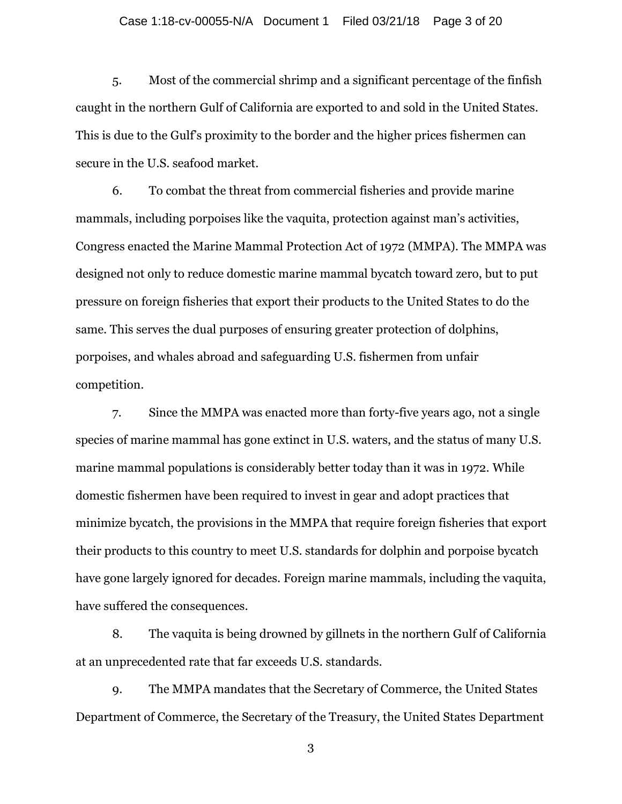### Case 1:18-cv-00055-N/A Document 1 Filed 03/21/18 Page 3 of 20

5. Most of the commercial shrimp and a significant percentage of the finfish caught in the northern Gulf of California are exported to and sold in the United States. This is due to the Gulf's proximity to the border and the higher prices fishermen can secure in the U.S. seafood market.

6. To combat the threat from commercial fisheries and provide marine mammals, including porpoises like the vaquita, protection against man's activities, Congress enacted the Marine Mammal Protection Act of 1972 (MMPA). The MMPA was designed not only to reduce domestic marine mammal bycatch toward zero, but to put pressure on foreign fisheries that export their products to the United States to do the same. This serves the dual purposes of ensuring greater protection of dolphins, porpoises, and whales abroad and safeguarding U.S. fishermen from unfair competition.

7. Since the MMPA was enacted more than forty-five years ago, not a single species of marine mammal has gone extinct in U.S. waters, and the status of many U.S. marine mammal populations is considerably better today than it was in 1972. While domestic fishermen have been required to invest in gear and adopt practices that minimize bycatch, the provisions in the MMPA that require foreign fisheries that export their products to this country to meet U.S. standards for dolphin and porpoise bycatch have gone largely ignored for decades. Foreign marine mammals, including the vaquita, have suffered the consequences.

8. The vaquita is being drowned by gillnets in the northern Gulf of California at an unprecedented rate that far exceeds U.S. standards.

9. The MMPA mandates that the Secretary of Commerce, the United States Department of Commerce, the Secretary of the Treasury, the United States Department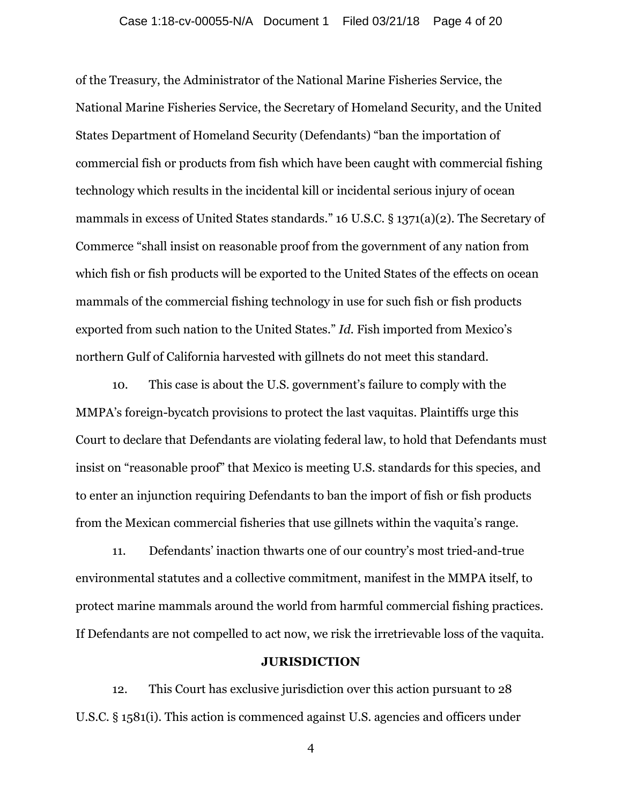of the Treasury, the Administrator of the National Marine Fisheries Service, the National Marine Fisheries Service, the Secretary of Homeland Security, and the United States Department of Homeland Security (Defendants) "ban the importation of commercial fish or products from fish which have been caught with commercial fishing technology which results in the incidental kill or incidental serious injury of ocean mammals in excess of United States standards." 16 U.S.C. § 1371(a)(2). The Secretary of Commerce "shall insist on reasonable proof from the government of any nation from which fish or fish products will be exported to the United States of the effects on ocean mammals of the commercial fishing technology in use for such fish or fish products exported from such nation to the United States." *Id.* Fish imported from Mexico's northern Gulf of California harvested with gillnets do not meet this standard.

10. This case is about the U.S. government's failure to comply with the MMPA's foreign-bycatch provisions to protect the last vaquitas. Plaintiffs urge this Court to declare that Defendants are violating federal law, to hold that Defendants must insist on "reasonable proof" that Mexico is meeting U.S. standards for this species, and to enter an injunction requiring Defendants to ban the import of fish or fish products from the Mexican commercial fisheries that use gillnets within the vaquita's range.

11. Defendants' inaction thwarts one of our country's most tried-and-true environmental statutes and a collective commitment, manifest in the MMPA itself, to protect marine mammals around the world from harmful commercial fishing practices. If Defendants are not compelled to act now, we risk the irretrievable loss of the vaquita.

### **JURISDICTION**

12. This Court has exclusive jurisdiction over this action pursuant to 28 U.S.C. § 1581(i). This action is commenced against U.S. agencies and officers under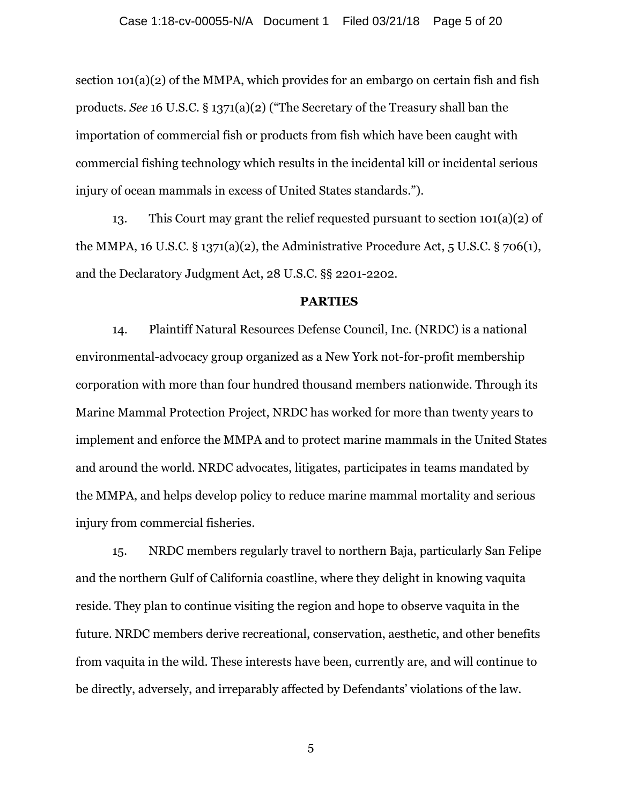section 101(a)(2) of the MMPA, which provides for an embargo on certain fish and fish products. *See* 16 U.S.C. § 1371(a)(2) ("The Secretary of the Treasury shall ban the importation of commercial fish or products from fish which have been caught with commercial fishing technology which results in the incidental kill or incidental serious injury of ocean mammals in excess of United States standards.").

13. This Court may grant the relief requested pursuant to section 101(a)(2) of the MMPA, 16 U.S.C.  $\S 1371(a)(2)$ , the Administrative Procedure Act, 5 U.S.C.  $\S 706(1)$ , and the Declaratory Judgment Act, 28 U.S.C. §§ 2201-2202.

## **PARTIES**

14. Plaintiff Natural Resources Defense Council, Inc. (NRDC) is a national environmental-advocacy group organized as a New York not-for-profit membership corporation with more than four hundred thousand members nationwide. Through its Marine Mammal Protection Project, NRDC has worked for more than twenty years to implement and enforce the MMPA and to protect marine mammals in the United States and around the world. NRDC advocates, litigates, participates in teams mandated by the MMPA, and helps develop policy to reduce marine mammal mortality and serious injury from commercial fisheries.

15. NRDC members regularly travel to northern Baja, particularly San Felipe and the northern Gulf of California coastline, where they delight in knowing vaquita reside. They plan to continue visiting the region and hope to observe vaquita in the future. NRDC members derive recreational, conservation, aesthetic, and other benefits from vaquita in the wild. These interests have been, currently are, and will continue to be directly, adversely, and irreparably affected by Defendants' violations of the law.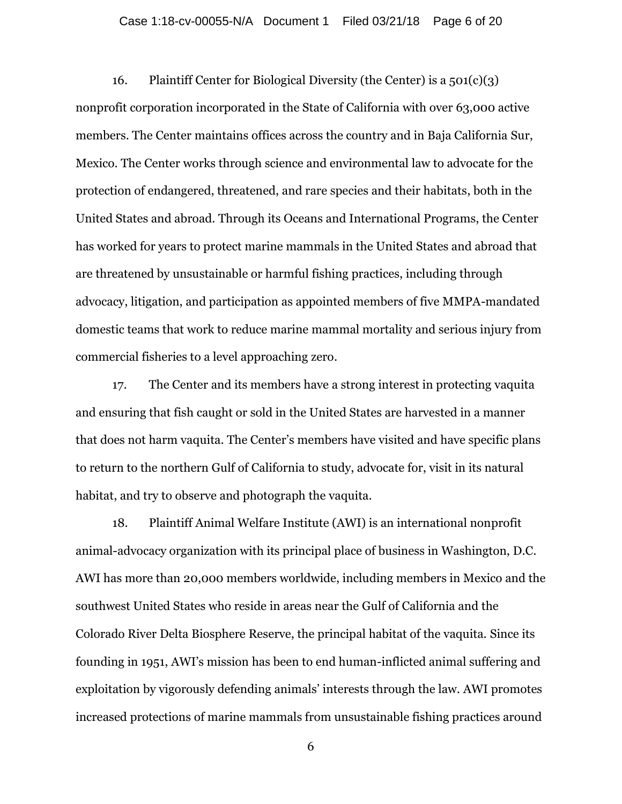### Case 1:18-cv-00055-N/A Document 1 Filed 03/21/18 Page 6 of 20

16. Plaintiff Center for Biological Diversity (the Center) is a  $501(c)(3)$ nonprofit corporation incorporated in the State of California with over 63,000 active members. The Center maintains offices across the country and in Baja California Sur, Mexico. The Center works through science and environmental law to advocate for the protection of endangered, threatened, and rare species and their habitats, both in the United States and abroad. Through its Oceans and International Programs, the Center has worked for years to protect marine mammals in the United States and abroad that are threatened by unsustainable or harmful fishing practices, including through advocacy, litigation, and participation as appointed members of five MMPA-mandated domestic teams that work to reduce marine mammal mortality and serious injury from commercial fisheries to a level approaching zero.

17. The Center and its members have a strong interest in protecting vaquita and ensuring that fish caught or sold in the United States are harvested in a manner that does not harm vaquita. The Center's members have visited and have specific plans to return to the northern Gulf of California to study, advocate for, visit in its natural habitat, and try to observe and photograph the vaquita.

18. Plaintiff Animal Welfare Institute (AWI) is an international nonprofit animal-advocacy organization with its principal place of business in Washington, D.C. AWI has more than 20,000 members worldwide, including members in Mexico and the southwest United States who reside in areas near the Gulf of California and the Colorado River Delta Biosphere Reserve, the principal habitat of the vaquita. Since its founding in 1951, AWI's mission has been to end human-inflicted animal suffering and exploitation by vigorously defending animals' interests through the law. AWI promotes increased protections of marine mammals from unsustainable fishing practices around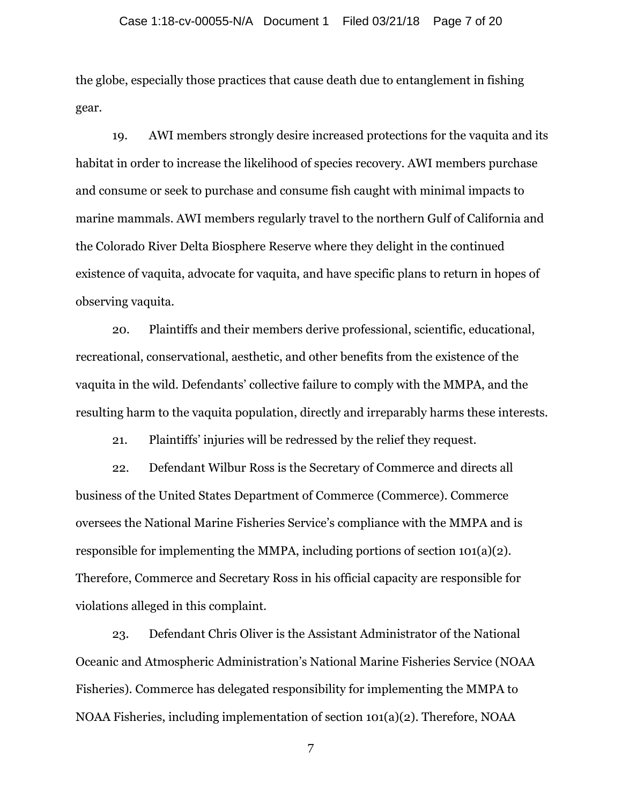the globe, especially those practices that cause death due to entanglement in fishing gear.

19. AWI members strongly desire increased protections for the vaquita and its habitat in order to increase the likelihood of species recovery. AWI members purchase and consume or seek to purchase and consume fish caught with minimal impacts to marine mammals. AWI members regularly travel to the northern Gulf of California and the Colorado River Delta Biosphere Reserve where they delight in the continued existence of vaquita, advocate for vaquita, and have specific plans to return in hopes of observing vaquita.

20. Plaintiffs and their members derive professional, scientific, educational, recreational, conservational, aesthetic, and other benefits from the existence of the vaquita in the wild. Defendants' collective failure to comply with the MMPA, and the resulting harm to the vaquita population, directly and irreparably harms these interests.

21. Plaintiffs' injuries will be redressed by the relief they request.

22. Defendant Wilbur Ross is the Secretary of Commerce and directs all business of the United States Department of Commerce (Commerce). Commerce oversees the National Marine Fisheries Service's compliance with the MMPA and is responsible for implementing the MMPA, including portions of section 101(a)(2). Therefore, Commerce and Secretary Ross in his official capacity are responsible for violations alleged in this complaint.

23. Defendant Chris Oliver is the Assistant Administrator of the National Oceanic and Atmospheric Administration's National Marine Fisheries Service (NOAA Fisheries). Commerce has delegated responsibility for implementing the MMPA to NOAA Fisheries, including implementation of section 101(a)(2). Therefore, NOAA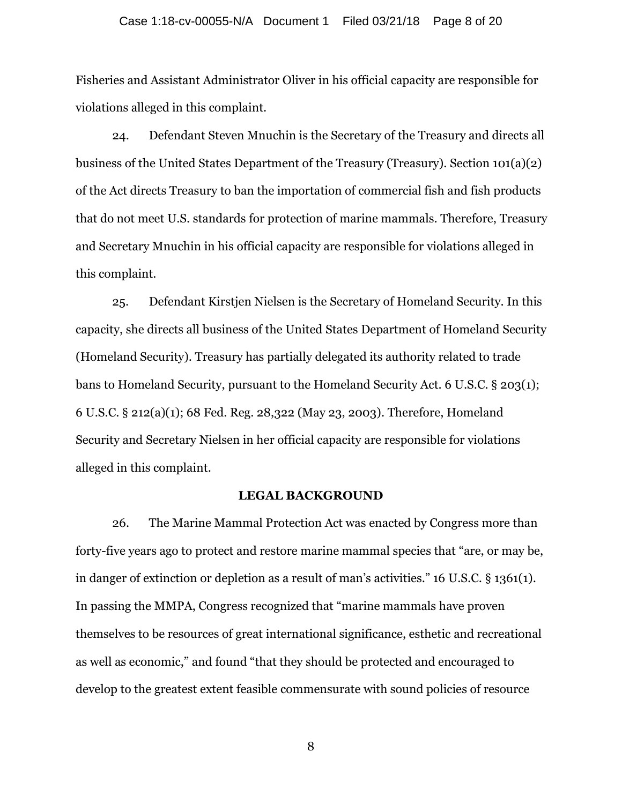#### Case 1:18-cv-00055-N/A Document 1 Filed 03/21/18 Page 8 of 20

Fisheries and Assistant Administrator Oliver in his official capacity are responsible for violations alleged in this complaint.

24. Defendant Steven Mnuchin is the Secretary of the Treasury and directs all business of the United States Department of the Treasury (Treasury). Section 101(a)(2) of the Act directs Treasury to ban the importation of commercial fish and fish products that do not meet U.S. standards for protection of marine mammals. Therefore, Treasury and Secretary Mnuchin in his official capacity are responsible for violations alleged in this complaint.

25. Defendant Kirstjen Nielsen is the Secretary of Homeland Security. In this capacity, she directs all business of the United States Department of Homeland Security (Homeland Security). Treasury has partially delegated its authority related to trade bans to Homeland Security, pursuant to the Homeland Security Act. 6 U.S.C. § 203(1); 6 U.S.C. § 212(a)(1); 68 Fed. Reg. 28,322 (May 23, 2003). Therefore, Homeland Security and Secretary Nielsen in her official capacity are responsible for violations alleged in this complaint.

### **LEGAL BACKGROUND**

26. The Marine Mammal Protection Act was enacted by Congress more than forty-five years ago to protect and restore marine mammal species that "are, or may be, in danger of extinction or depletion as a result of man's activities." 16 U.S.C. § 1361(1). In passing the MMPA, Congress recognized that "marine mammals have proven themselves to be resources of great international significance, esthetic and recreational as well as economic," and found "that they should be protected and encouraged to develop to the greatest extent feasible commensurate with sound policies of resource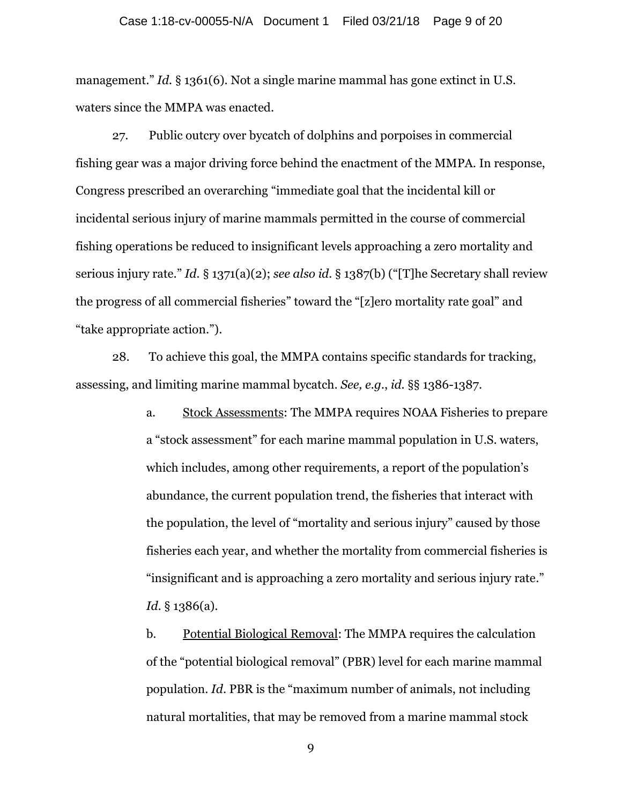management." *Id.* § 1361(6). Not a single marine mammal has gone extinct in U.S. waters since the MMPA was enacted.

27. Public outcry over bycatch of dolphins and porpoises in commercial fishing gear was a major driving force behind the enactment of the MMPA. In response, Congress prescribed an overarching "immediate goal that the incidental kill or incidental serious injury of marine mammals permitted in the course of commercial fishing operations be reduced to insignificant levels approaching a zero mortality and serious injury rate." *Id.* § 1371(a)(2); *see also id.* § 1387(b) ("[T]he Secretary shall review the progress of all commercial fisheries" toward the "[z]ero mortality rate goal" and "take appropriate action.").

28. To achieve this goal, the MMPA contains specific standards for tracking, assessing, and limiting marine mammal bycatch. *See, e.g.*, *id.* §§ 1386-1387.

> a. Stock Assessments: The MMPA requires NOAA Fisheries to prepare a "stock assessment" for each marine mammal population in U.S. waters, which includes, among other requirements, a report of the population's abundance, the current population trend, the fisheries that interact with the population, the level of "mortality and serious injury" caused by those fisheries each year, and whether the mortality from commercial fisheries is "insignificant and is approaching a zero mortality and serious injury rate." *Id.* § 1386(a).

b. Potential Biological Removal: The MMPA requires the calculation of the "potential biological removal" (PBR) level for each marine mammal population. *Id*. PBR is the "maximum number of animals, not including natural mortalities, that may be removed from a marine mammal stock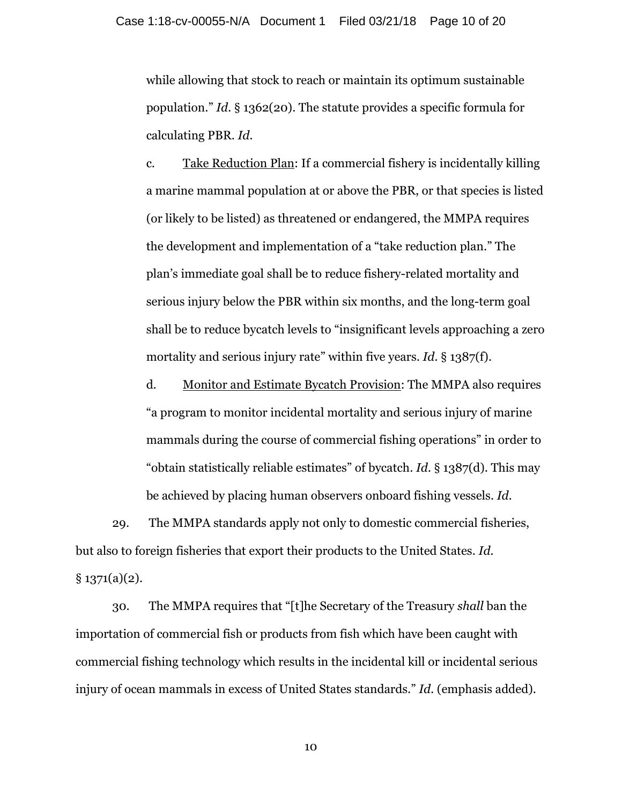while allowing that stock to reach or maintain its optimum sustainable population." *Id.* § 1362(20). The statute provides a specific formula for calculating PBR. *Id.*

c. Take Reduction Plan: If a commercial fishery is incidentally killing a marine mammal population at or above the PBR, or that species is listed (or likely to be listed) as threatened or endangered, the MMPA requires the development and implementation of a "take reduction plan." The plan's immediate goal shall be to reduce fishery-related mortality and serious injury below the PBR within six months, and the long-term goal shall be to reduce bycatch levels to "insignificant levels approaching a zero mortality and serious injury rate" within five years. *Id.* § 1387(f).

d. Monitor and Estimate Bycatch Provision: The MMPA also requires "a program to monitor incidental mortality and serious injury of marine mammals during the course of commercial fishing operations" in order to "obtain statistically reliable estimates" of bycatch. *Id.* § 1387(d). This may be achieved by placing human observers onboard fishing vessels. *Id.*

29. The MMPA standards apply not only to domestic commercial fisheries, but also to foreign fisheries that export their products to the United States. *Id.*  $§ 1371(a)(2).$ 

30. The MMPA requires that "[t]he Secretary of the Treasury *shall* ban the importation of commercial fish or products from fish which have been caught with commercial fishing technology which results in the incidental kill or incidental serious injury of ocean mammals in excess of United States standards." *Id.* (emphasis added).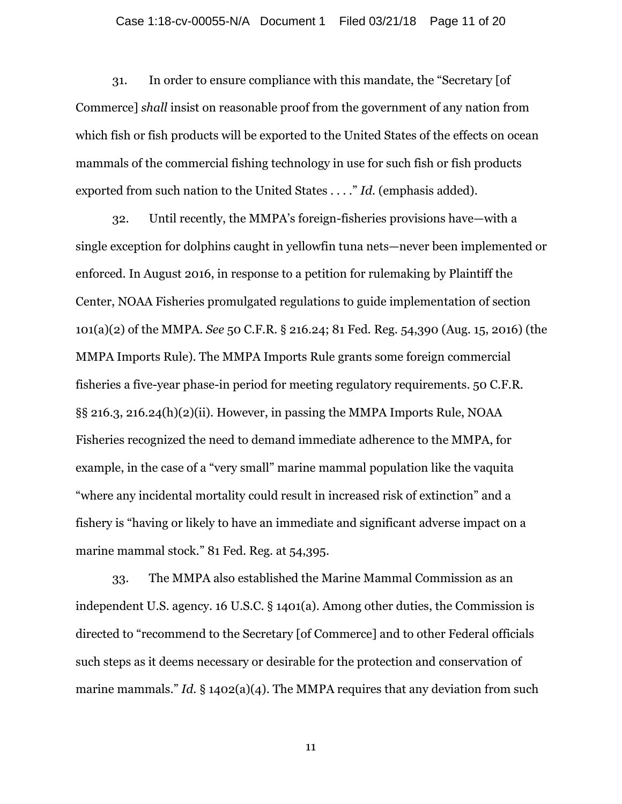#### Case 1:18-cv-00055-N/A Document 1 Filed 03/21/18 Page 11 of 20

31. In order to ensure compliance with this mandate, the "Secretary [of Commerce] *shall* insist on reasonable proof from the government of any nation from which fish or fish products will be exported to the United States of the effects on ocean mammals of the commercial fishing technology in use for such fish or fish products exported from such nation to the United States . . . ." *Id.* (emphasis added).

32. Until recently, the MMPA's foreign-fisheries provisions have—with a single exception for dolphins caught in yellowfin tuna nets—never been implemented or enforced. In August 2016, in response to a petition for rulemaking by Plaintiff the Center, NOAA Fisheries promulgated regulations to guide implementation of section 101(a)(2) of the MMPA. *See* 50 C.F.R. § 216.24; 81 Fed. Reg. 54,390 (Aug. 15, 2016) (the MMPA Imports Rule). The MMPA Imports Rule grants some foreign commercial fisheries a five-year phase-in period for meeting regulatory requirements. 50 C.F.R. §§ 216.3, 216.24(h)(2)(ii). However, in passing the MMPA Imports Rule, NOAA Fisheries recognized the need to demand immediate adherence to the MMPA, for example, in the case of a "very small" marine mammal population like the vaquita "where any incidental mortality could result in increased risk of extinction" and a fishery is "having or likely to have an immediate and significant adverse impact on a marine mammal stock." 81 Fed. Reg. at 54,395.

33. The MMPA also established the Marine Mammal Commission as an independent U.S. agency. 16 U.S.C. § 1401(a). Among other duties, the Commission is directed to "recommend to the Secretary [of Commerce] and to other Federal officials such steps as it deems necessary or desirable for the protection and conservation of marine mammals." *Id.* § 1402(a)(4). The MMPA requires that any deviation from such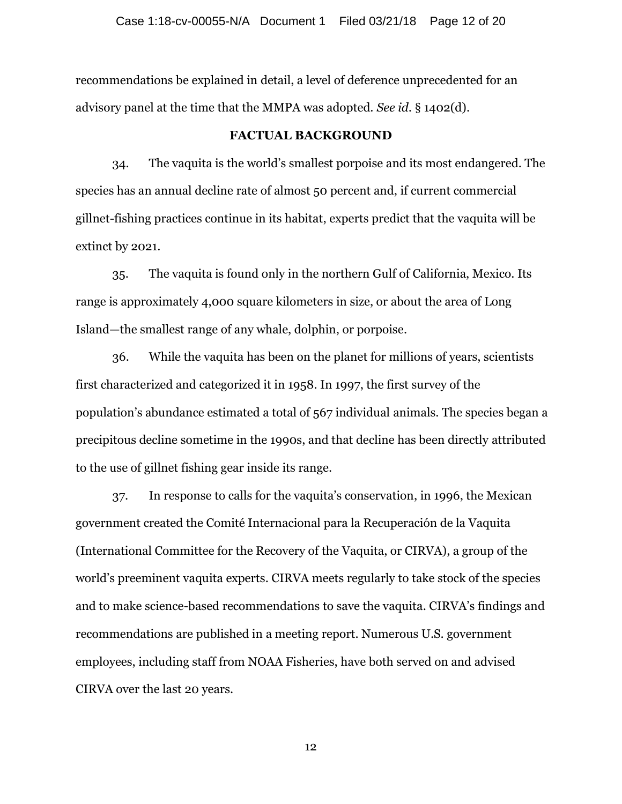recommendations be explained in detail, a level of deference unprecedented for an advisory panel at the time that the MMPA was adopted. *See id.* § 1402(d).

### **FACTUAL BACKGROUND**

34. The vaquita is the world's smallest porpoise and its most endangered. The species has an annual decline rate of almost 50 percent and, if current commercial gillnet-fishing practices continue in its habitat, experts predict that the vaquita will be extinct by 2021.

35. The vaquita is found only in the northern Gulf of California, Mexico. Its range is approximately 4,000 square kilometers in size, or about the area of Long Island—the smallest range of any whale, dolphin, or porpoise.

36. While the vaquita has been on the planet for millions of years, scientists first characterized and categorized it in 1958. In 1997, the first survey of the population's abundance estimated a total of 567 individual animals. The species began a precipitous decline sometime in the 1990s, and that decline has been directly attributed to the use of gillnet fishing gear inside its range.

37. In response to calls for the vaquita's conservation, in 1996, the Mexican government created the Comité Internacional para la Recuperación de la Vaquita (International Committee for the Recovery of the Vaquita, or CIRVA), a group of the world's preeminent vaquita experts. CIRVA meets regularly to take stock of the species and to make science-based recommendations to save the vaquita. CIRVA's findings and recommendations are published in a meeting report. Numerous U.S. government employees, including staff from NOAA Fisheries, have both served on and advised CIRVA over the last 20 years.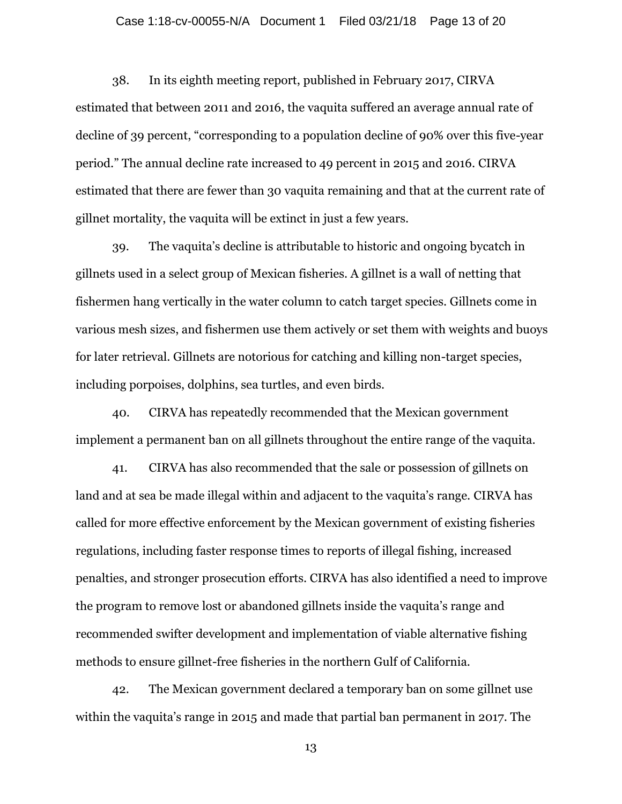### Case 1:18-cv-00055-N/A Document 1 Filed 03/21/18 Page 13 of 20

38. In its eighth meeting report, published in February 2017, CIRVA estimated that between 2011 and 2016, the vaquita suffered an average annual rate of decline of 39 percent, "corresponding to a population decline of 90% over this five-year period." The annual decline rate increased to 49 percent in 2015 and 2016. CIRVA estimated that there are fewer than 30 vaquita remaining and that at the current rate of gillnet mortality, the vaquita will be extinct in just a few years.

39. The vaquita's decline is attributable to historic and ongoing bycatch in gillnets used in a select group of Mexican fisheries. A gillnet is a wall of netting that fishermen hang vertically in the water column to catch target species. Gillnets come in various mesh sizes, and fishermen use them actively or set them with weights and buoys for later retrieval. Gillnets are notorious for catching and killing non-target species, including porpoises, dolphins, sea turtles, and even birds.

40. CIRVA has repeatedly recommended that the Mexican government implement a permanent ban on all gillnets throughout the entire range of the vaquita.

41. CIRVA has also recommended that the sale or possession of gillnets on land and at sea be made illegal within and adjacent to the vaquita's range. CIRVA has called for more effective enforcement by the Mexican government of existing fisheries regulations, including faster response times to reports of illegal fishing, increased penalties, and stronger prosecution efforts. CIRVA has also identified a need to improve the program to remove lost or abandoned gillnets inside the vaquita's range and recommended swifter development and implementation of viable alternative fishing methods to ensure gillnet-free fisheries in the northern Gulf of California.

42. The Mexican government declared a temporary ban on some gillnet use within the vaquita's range in 2015 and made that partial ban permanent in 2017. The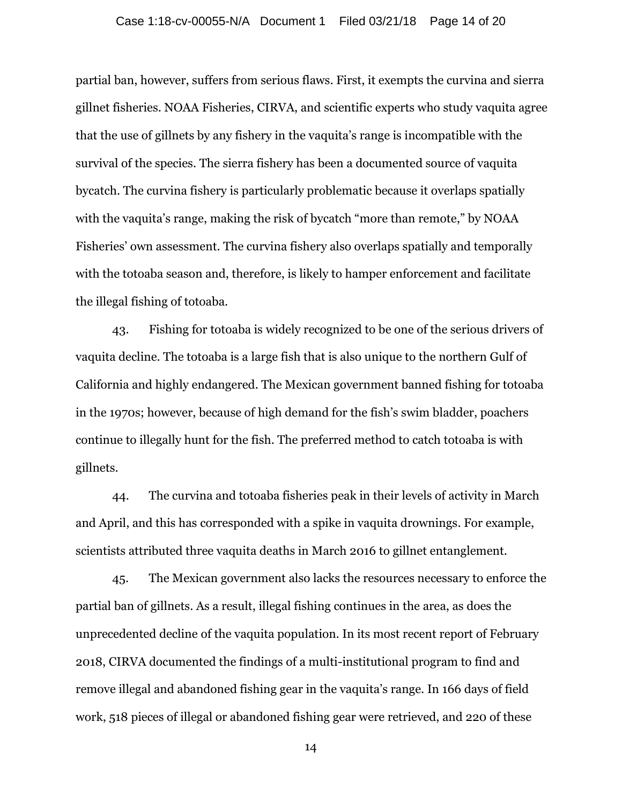#### Case 1:18-cv-00055-N/A Document 1 Filed 03/21/18 Page 14 of 20

partial ban, however, suffers from serious flaws. First, it exempts the curvina and sierra gillnet fisheries. NOAA Fisheries, CIRVA, and scientific experts who study vaquita agree that the use of gillnets by any fishery in the vaquita's range is incompatible with the survival of the species. The sierra fishery has been a documented source of vaquita bycatch. The curvina fishery is particularly problematic because it overlaps spatially with the vaquita's range, making the risk of bycatch "more than remote," by NOAA Fisheries' own assessment. The curvina fishery also overlaps spatially and temporally with the totoaba season and, therefore, is likely to hamper enforcement and facilitate the illegal fishing of totoaba.

43. Fishing for totoaba is widely recognized to be one of the serious drivers of vaquita decline. The totoaba is a large fish that is also unique to the northern Gulf of California and highly endangered. The Mexican government banned fishing for totoaba in the 1970s; however, because of high demand for the fish's swim bladder, poachers continue to illegally hunt for the fish. The preferred method to catch totoaba is with gillnets.

44. The curvina and totoaba fisheries peak in their levels of activity in March and April, and this has corresponded with a spike in vaquita drownings. For example, scientists attributed three vaquita deaths in March 2016 to gillnet entanglement.

45. The Mexican government also lacks the resources necessary to enforce the partial ban of gillnets. As a result, illegal fishing continues in the area, as does the unprecedented decline of the vaquita population. In its most recent report of February 2018, CIRVA documented the findings of a multi-institutional program to find and remove illegal and abandoned fishing gear in the vaquita's range. In 166 days of field work, 518 pieces of illegal or abandoned fishing gear were retrieved, and 220 of these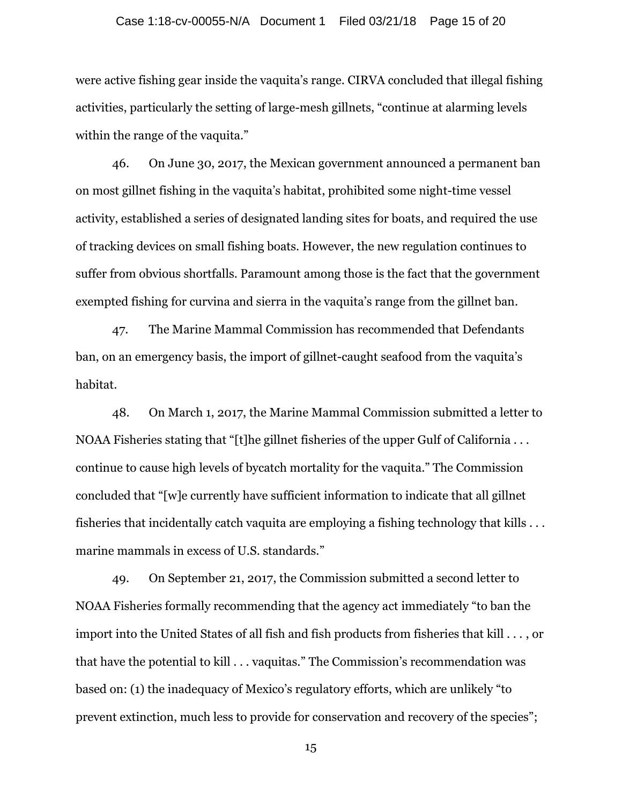#### Case 1:18-cv-00055-N/A Document 1 Filed 03/21/18 Page 15 of 20

were active fishing gear inside the vaquita's range. CIRVA concluded that illegal fishing activities, particularly the setting of large-mesh gillnets, "continue at alarming levels within the range of the vaquita."

46. On June 30, 2017, the Mexican government announced a permanent ban on most gillnet fishing in the vaquita's habitat, prohibited some night-time vessel activity, established a series of designated landing sites for boats, and required the use of tracking devices on small fishing boats. However, the new regulation continues to suffer from obvious shortfalls. Paramount among those is the fact that the government exempted fishing for curvina and sierra in the vaquita's range from the gillnet ban.

47. The Marine Mammal Commission has recommended that Defendants ban, on an emergency basis, the import of gillnet-caught seafood from the vaquita's habitat.

48. On March 1, 2017, the Marine Mammal Commission submitted a letter to NOAA Fisheries stating that "[t]he gillnet fisheries of the upper Gulf of California . . . continue to cause high levels of bycatch mortality for the vaquita." The Commission concluded that "[w]e currently have sufficient information to indicate that all gillnet fisheries that incidentally catch vaquita are employing a fishing technology that kills . . . marine mammals in excess of U.S. standards."

49. On September 21, 2017, the Commission submitted a second letter to NOAA Fisheries formally recommending that the agency act immediately "to ban the import into the United States of all fish and fish products from fisheries that kill . . . , or that have the potential to kill . . . vaquitas." The Commission's recommendation was based on: (1) the inadequacy of Mexico's regulatory efforts, which are unlikely "to prevent extinction, much less to provide for conservation and recovery of the species";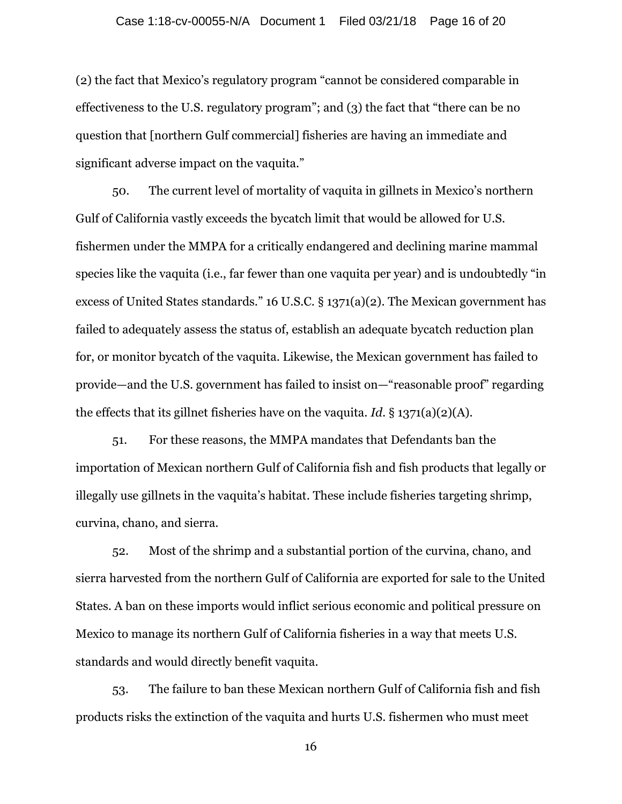(2) the fact that Mexico's regulatory program "cannot be considered comparable in effectiveness to the U.S. regulatory program"; and (3) the fact that "there can be no question that [northern Gulf commercial] fisheries are having an immediate and significant adverse impact on the vaquita."

50. The current level of mortality of vaquita in gillnets in Mexico's northern Gulf of California vastly exceeds the bycatch limit that would be allowed for U.S. fishermen under the MMPA for a critically endangered and declining marine mammal species like the vaquita (i.e., far fewer than one vaquita per year) and is undoubtedly "in excess of United States standards." 16 U.S.C. § 1371(a)(2). The Mexican government has failed to adequately assess the status of, establish an adequate bycatch reduction plan for, or monitor bycatch of the vaquita. Likewise, the Mexican government has failed to provide—and the U.S. government has failed to insist on—"reasonable proof" regarding the effects that its gillnet fisheries have on the vaquita. *Id.* § 1371(a)(2)(A).

51. For these reasons, the MMPA mandates that Defendants ban the importation of Mexican northern Gulf of California fish and fish products that legally or illegally use gillnets in the vaquita's habitat. These include fisheries targeting shrimp, curvina, chano, and sierra.

52. Most of the shrimp and a substantial portion of the curvina, chano, and sierra harvested from the northern Gulf of California are exported for sale to the United States. A ban on these imports would inflict serious economic and political pressure on Mexico to manage its northern Gulf of California fisheries in a way that meets U.S. standards and would directly benefit vaquita.

53. The failure to ban these Mexican northern Gulf of California fish and fish products risks the extinction of the vaquita and hurts U.S. fishermen who must meet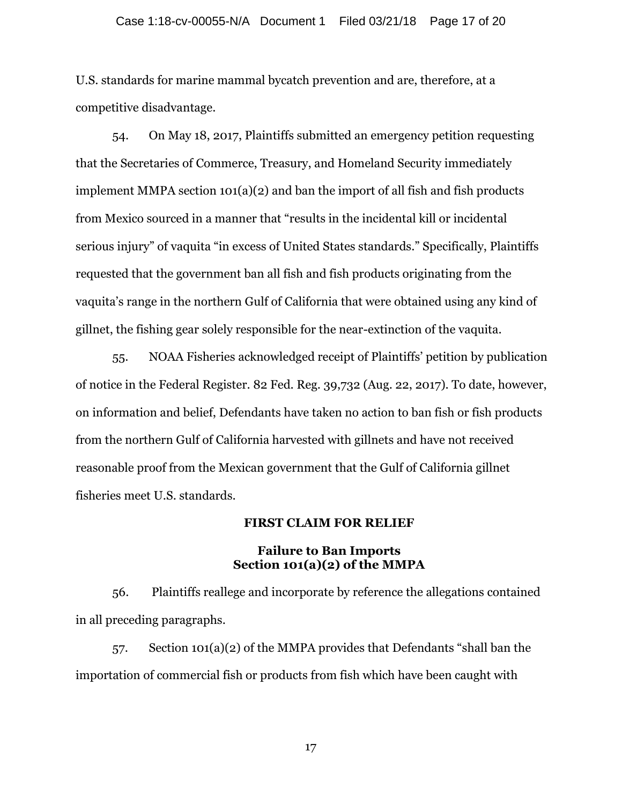### Case 1:18-cv-00055-N/A Document 1 Filed 03/21/18 Page 17 of 20

U.S. standards for marine mammal bycatch prevention and are, therefore, at a competitive disadvantage.

54. On May 18, 2017, Plaintiffs submitted an emergency petition requesting that the Secretaries of Commerce, Treasury, and Homeland Security immediately implement MMPA section 101(a)(2) and ban the import of all fish and fish products from Mexico sourced in a manner that "results in the incidental kill or incidental serious injury" of vaquita "in excess of United States standards." Specifically, Plaintiffs requested that the government ban all fish and fish products originating from the vaquita's range in the northern Gulf of California that were obtained using any kind of gillnet, the fishing gear solely responsible for the near-extinction of the vaquita.

55. NOAA Fisheries acknowledged receipt of Plaintiffs' petition by publication of notice in the Federal Register. 82 Fed. Reg. 39,732 (Aug. 22, 2017). To date, however, on information and belief, Defendants have taken no action to ban fish or fish products from the northern Gulf of California harvested with gillnets and have not received reasonable proof from the Mexican government that the Gulf of California gillnet fisheries meet U.S. standards.

### **FIRST CLAIM FOR RELIEF**

### **Failure to Ban Imports Section 101(a)(2) of the MMPA**

56. Plaintiffs reallege and incorporate by reference the allegations contained in all preceding paragraphs.

57. Section 101(a)(2) of the MMPA provides that Defendants "shall ban the importation of commercial fish or products from fish which have been caught with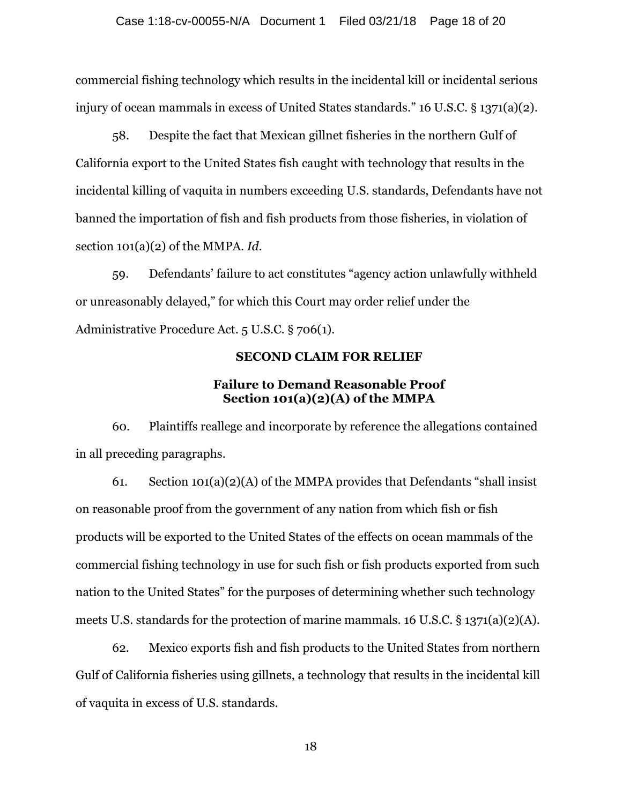commercial fishing technology which results in the incidental kill or incidental serious injury of ocean mammals in excess of United States standards." 16 U.S.C. § 1371(a)(2).

58. Despite the fact that Mexican gillnet fisheries in the northern Gulf of California export to the United States fish caught with technology that results in the incidental killing of vaquita in numbers exceeding U.S. standards, Defendants have not banned the importation of fish and fish products from those fisheries, in violation of section 101(a)(2) of the MMPA. *Id.*

59. Defendants' failure to act constitutes "agency action unlawfully withheld or unreasonably delayed," for which this Court may order relief under the Administrative Procedure Act. 5 U.S.C. § 706(1).

### **SECOND CLAIM FOR RELIEF**

# **Failure to Demand Reasonable Proof Section 101(a)(2)(A) of the MMPA**

60. Plaintiffs reallege and incorporate by reference the allegations contained in all preceding paragraphs.

61. Section 101(a)(2)(A) of the MMPA provides that Defendants "shall insist on reasonable proof from the government of any nation from which fish or fish products will be exported to the United States of the effects on ocean mammals of the commercial fishing technology in use for such fish or fish products exported from such nation to the United States" for the purposes of determining whether such technology meets U.S. standards for the protection of marine mammals. 16 U.S.C. § 1371(a)(2)(A).

62. Mexico exports fish and fish products to the United States from northern Gulf of California fisheries using gillnets, a technology that results in the incidental kill of vaquita in excess of U.S. standards.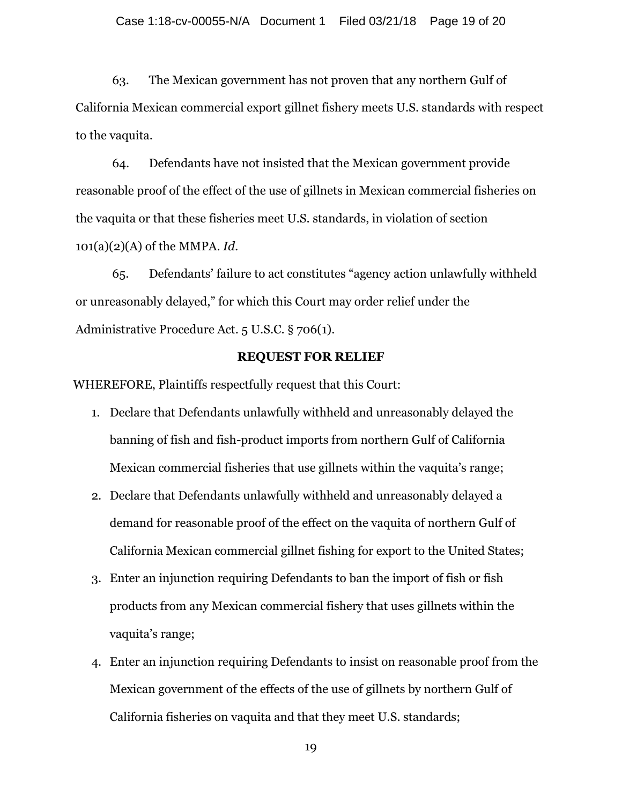63. The Mexican government has not proven that any northern Gulf of California Mexican commercial export gillnet fishery meets U.S. standards with respect to the vaquita.

64. Defendants have not insisted that the Mexican government provide reasonable proof of the effect of the use of gillnets in Mexican commercial fisheries on the vaquita or that these fisheries meet U.S. standards, in violation of section 101(a)(2)(A) of the MMPA. *Id.*

65. Defendants' failure to act constitutes "agency action unlawfully withheld or unreasonably delayed," for which this Court may order relief under the Administrative Procedure Act. 5 U.S.C. § 706(1).

## **REQUEST FOR RELIEF**

WHEREFORE, Plaintiffs respectfully request that this Court:

- 1. Declare that Defendants unlawfully withheld and unreasonably delayed the banning of fish and fish-product imports from northern Gulf of California Mexican commercial fisheries that use gillnets within the vaquita's range;
- 2. Declare that Defendants unlawfully withheld and unreasonably delayed a demand for reasonable proof of the effect on the vaquita of northern Gulf of California Mexican commercial gillnet fishing for export to the United States;
- 3. Enter an injunction requiring Defendants to ban the import of fish or fish products from any Mexican commercial fishery that uses gillnets within the vaquita's range;
- 4. Enter an injunction requiring Defendants to insist on reasonable proof from the Mexican government of the effects of the use of gillnets by northern Gulf of California fisheries on vaquita and that they meet U.S. standards;